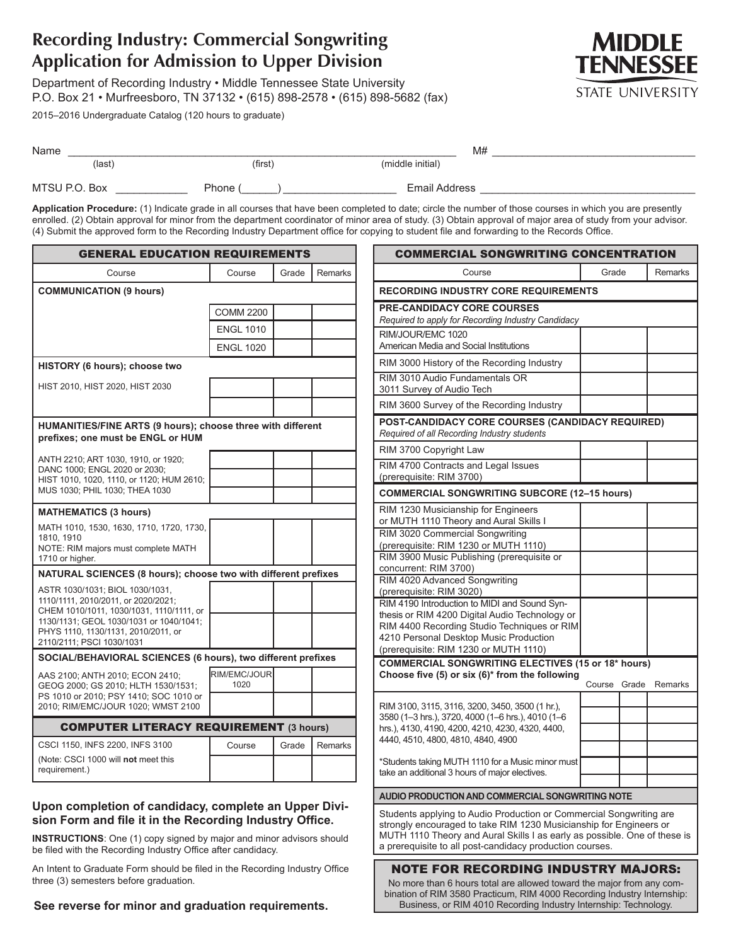# **Recording Industry: Commercial Songwriting Application for Admission to Upper Division**

Department of Recording Industry • Middle Tennessee State University P.O. Box 21 • Murfreesboro, TN 37132 • (615) 898-2578 • (615) 898-5682 (fax)

2015–2016 Undergraduate Catalog (120 hours to graduate)



| Name          |         | M#               |  |
|---------------|---------|------------------|--|
| (last)        | (first) | (middle initial) |  |
| MTSU P.O. Box | Phone ( | Email Address    |  |

**Application Procedure:** (1) Indicate grade in all courses that have been completed to date; circle the number of those courses in which you are presently enrolled. (2) Obtain approval for minor from the department coordinator of minor area of study. (3) Obtain approval of major area of study from your advisor. (4) Submit the approved form to the Recording Industry Department office for copying to student file and forwarding to the Records Office.

| <b>GENERAL EDUCATION REQUIREMENTS</b>                                                            |                      |       |         |
|--------------------------------------------------------------------------------------------------|----------------------|-------|---------|
| Course                                                                                           | Course               | Grade | Remarks |
| <b>COMMUNICATION (9 hours)</b>                                                                   |                      |       |         |
|                                                                                                  | <b>COMM 2200</b>     |       |         |
|                                                                                                  | <b>ENGL 1010</b>     |       |         |
|                                                                                                  | <b>ENGL 1020</b>     |       |         |
| HISTORY (6 hours); choose two                                                                    |                      |       |         |
| HIST 2010, HIST 2020, HIST 2030                                                                  |                      |       |         |
|                                                                                                  |                      |       |         |
| HUMANITIES/FINE ARTS (9 hours); choose three with different<br>prefixes; one must be ENGL or HUM |                      |       |         |
| ANTH 2210; ART 1030, 1910, or 1920;                                                              |                      |       |         |
| DANC 1000; ENGL 2020 or 2030;<br>HIST 1010, 1020, 1110, or 1120; HUM 2610;                       |                      |       |         |
| MUS 1030; PHIL 1030; THEA 1030                                                                   |                      |       |         |
| <b>MATHEMATICS (3 hours)</b>                                                                     |                      |       |         |
| MATH 1010, 1530, 1630, 1710, 1720, 1730,<br>1810, 1910                                           |                      |       |         |
| NOTE: RIM majors must complete MATH                                                              |                      |       |         |
| 1710 or higher.<br>NATURAL SCIENCES (8 hours); choose two with different prefixes                |                      |       |         |
| ASTR 1030/1031; BIOL 1030/1031,                                                                  |                      |       |         |
| 1110/1111, 2010/2011, or 2020/2021;<br>CHEM 1010/1011, 1030/1031, 1110/1111, or                  |                      |       |         |
| 1130/1131; GEOL 1030/1031 or 1040/1041;<br>PHYS 1110, 1130/1131, 2010/2011, or                   |                      |       |         |
| 2110/2111; PSCI 1030/1031                                                                        |                      |       |         |
| SOCIAL/BEHAVIORAL SCIENCES (6 hours), two different prefixes                                     |                      |       |         |
| AAS 2100; ANTH 2010; ECON 2410;<br>GEOG 2000; GS 2010; HLTH 1530/1531;                           | RIM/EMC/JOUR<br>1020 |       |         |
| PS 1010 or 2010; PSY 1410; SOC 1010 or                                                           |                      |       |         |
| 2010; RIM/EMC/JOUR 1020; WMST 2100                                                               |                      |       |         |
| <b>COMPUTER LITERACY REQUIREMENT (3 hours)</b>                                                   |                      |       |         |
| CSCI 1150, INFS 2200, INFS 3100                                                                  | Course               | Grade | Remarks |
| (Note: CSCI 1000 will not meet this<br>requirement.)                                             |                      |       |         |

## **Upon completion of candidacy, complete an Upper Division Form and file it in the Recording Industry Office.**

**INSTRUCTIONS**: One (1) copy signed by major and minor advisors should be filed with the Recording Industry Office after candidacy.

An Intent to Graduate Form should be filed in the Recording Industry Office three (3) semesters before graduation.

**See reverse for minor and graduation requirements.**

| <b>COMMERCIAL SONGWRITING CONCENTRATION</b>                                                                                                                                                                                                                                        |        |       |         |
|------------------------------------------------------------------------------------------------------------------------------------------------------------------------------------------------------------------------------------------------------------------------------------|--------|-------|---------|
| Course                                                                                                                                                                                                                                                                             | Grade  |       | Remarks |
| <b>RECORDING INDUSTRY CORE REQUIREMENTS</b>                                                                                                                                                                                                                                        |        |       |         |
| <b>PRE-CANDIDACY CORE COURSES</b><br>Required to apply for Recording Industry Candidacy                                                                                                                                                                                            |        |       |         |
| RIM/JOUR/EMC 1020<br>American Media and Social Institutions                                                                                                                                                                                                                        |        |       |         |
| RIM 3000 History of the Recording Industry                                                                                                                                                                                                                                         |        |       |         |
| RIM 3010 Audio Fundamentals OR<br>3011 Survey of Audio Tech                                                                                                                                                                                                                        |        |       |         |
| RIM 3600 Survey of the Recording Industry                                                                                                                                                                                                                                          |        |       |         |
| POST-CANDIDACY CORE COURSES (CANDIDACY REQUIRED)<br>Required of all Recording Industry students                                                                                                                                                                                    |        |       |         |
| RIM 3700 Copyright Law                                                                                                                                                                                                                                                             |        |       |         |
| RIM 4700 Contracts and Legal Issues<br>(prerequisite: RIM 3700)                                                                                                                                                                                                                    |        |       |         |
| <b>COMMERCIAL SONGWRITING SUBCORE (12-15 hours)</b>                                                                                                                                                                                                                                |        |       |         |
| RIM 1230 Musicianship for Engineers<br>or MUTH 1110 Theory and Aural Skills I                                                                                                                                                                                                      |        |       |         |
| RIM 3020 Commercial Songwriting<br>(prerequisite: RIM 1230 or MUTH 1110)                                                                                                                                                                                                           |        |       |         |
| RIM 3900 Music Publishing (prerequisite or<br>concurrent: RIM 3700)                                                                                                                                                                                                                |        |       |         |
| RIM 4020 Advanced Songwriting<br>(prerequisite: RIM 3020)                                                                                                                                                                                                                          |        |       |         |
| RIM 4190 Introduction to MIDI and Sound Syn-<br>thesis or RIM 4200 Digital Audio Technology or                                                                                                                                                                                     |        |       |         |
| RIM 4400 Recording Studio Techniques or RIM<br>4210 Personal Desktop Music Production                                                                                                                                                                                              |        |       |         |
| (prerequisite: RIM 1230 or MUTH 1110)                                                                                                                                                                                                                                              |        |       |         |
| <b>COMMERCIAL SONGWRITING ELECTIVES (15 or 18* hours)</b><br>Choose five (5) or six (6)* from the following                                                                                                                                                                        |        |       |         |
|                                                                                                                                                                                                                                                                                    | Course | Grade | Remarks |
| RIM 3100, 3115, 3116, 3200, 3450, 3500 (1 hr.),                                                                                                                                                                                                                                    |        |       |         |
| 3580 (1-3 hrs.), 3720, 4000 (1-6 hrs.), 4010 (1-6<br>hrs.), 4130, 4190, 4200, 4210, 4230, 4320, 4400,                                                                                                                                                                              |        |       |         |
| 4440, 4510, 4800, 4810, 4840, 4900                                                                                                                                                                                                                                                 |        |       |         |
| *Students taking MUTH 1110 for a Music minor must                                                                                                                                                                                                                                  |        |       |         |
| take an additional 3 hours of major electives.                                                                                                                                                                                                                                     |        |       |         |
| <b>AUDIO PRODUCTION AND COMMERCIAL SONGWRITING NOTE</b>                                                                                                                                                                                                                            |        |       |         |
| Students applying to Audio Production or Commercial Songwriting are<br>strongly encouraged to take RIM 1230 Musicianship for Engineers or<br>MUTH 1110 Theory and Aural Skills I as early as possible. One of these is<br>a prerequisite to all post-candidacy production courses. |        |       |         |
| <b>NOTE FOR RECORDING INDUSTRY MAJORS:</b>                                                                                                                                                                                                                                         |        |       |         |
| No more than 6 hours total are allowed toward the major from any com-<br>bination of RIM 3580 Practicum RIM 4000 Recording Industry Internship:                                                                                                                                    |        |       |         |

bination of RIM 3580 Practicum, RIM 4000 Recording Industry Internship: Business, or RIM 4010 Recording Industry Internship: Technology.